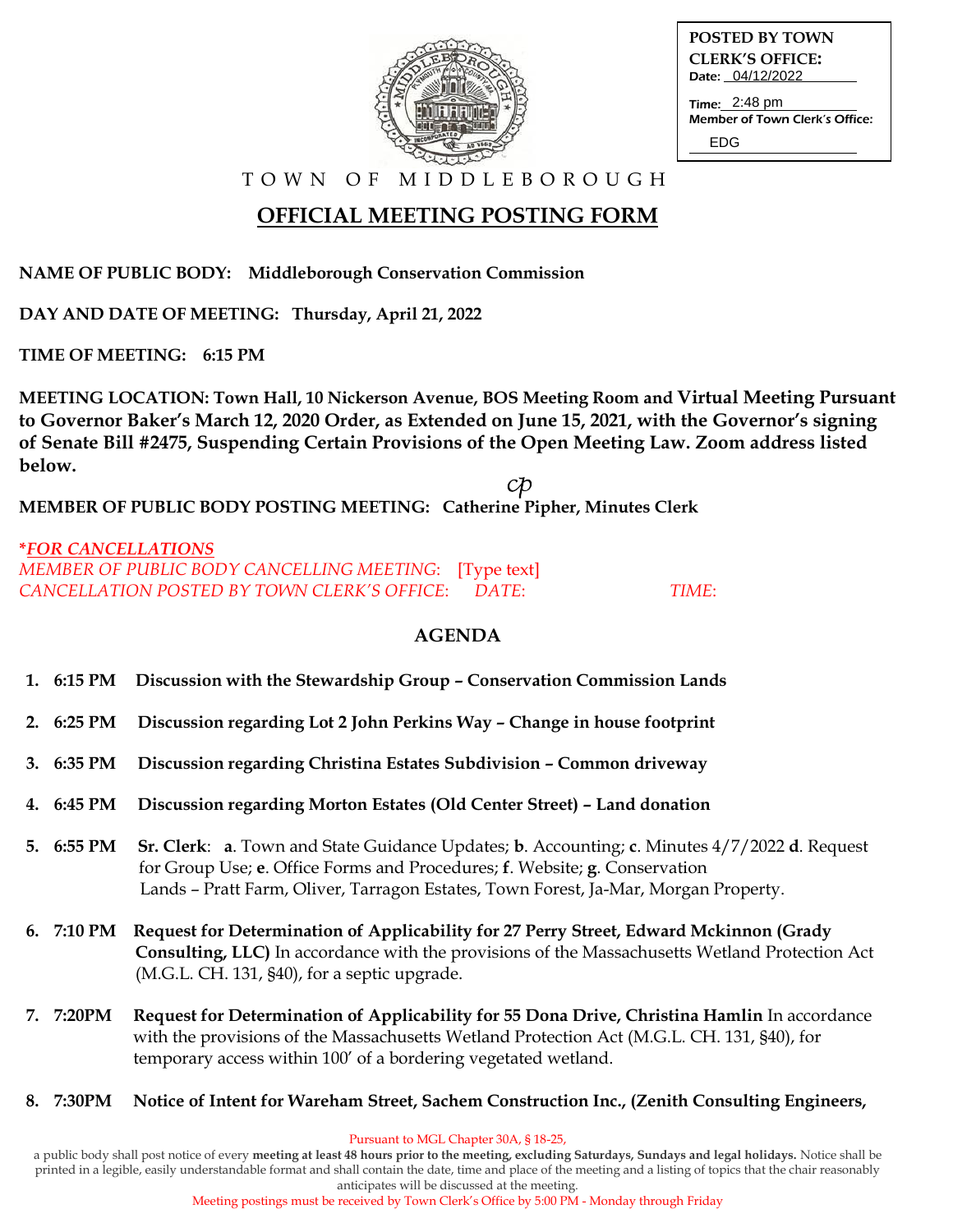

**POSTED BY TOWN CLERK'S OFFICE:** Date: 04/12/2022

Time: 2:48 pm Member of Town Clerk's Office: EDG

T O W N O F M I D D L E B O R O U G H

## **OFFICIAL MEETING POSTING FORM**

**NAME OF PUBLIC BODY: Middleborough Conservation Commission**

**DAY AND DATE OF MEETING: Thursday, April 21, 2022**

**TIME OF MEETING: 6:15 PM**

**MEETING LOCATION: Town Hall, 10 Nickerson Avenue, BOS Meeting Room and Virtual Meeting Pursuant to Governor Baker's March 12, 2020 Order, as Extended on June 15, 2021, with the Governor's signing of Senate Bill #2475, Suspending Certain Provisions of the Open Meeting Law. Zoom address listed below.**  ${\cal{C}}\!{\cal{D}}$ 

**MEMBER OF PUBLIC BODY POSTING MEETING: Catherine Pipher, Minutes Clerk**

#### **\****FOR CANCELLATIONS MEMBER OF PUBLIC BODY CANCELLING MEETING*: [Type text] *CANCELLATION POSTED BY TOWN CLERK'S OFFICE*: *DATE*: *TIME*:

### **AGENDA**

- **1. 6:15 PM Discussion with the Stewardship Group – Conservation Commission Lands**
- **2. 6:25 PM Discussion regarding Lot 2 John Perkins Way – Change in house footprint**
- **3. 6:35 PM Discussion regarding Christina Estates Subdivision – Common driveway**
- **4. 6:45 PM Discussion regarding Morton Estates (Old Center Street) – Land donation**
- **5. 6:55 PM Sr. Clerk**: **a**. Town and State Guidance Updates; **b**. Accounting; **c**. Minutes 4/7/2022 **d**. Request for Group Use; **e**. Office Forms and Procedures; **f**. Website; **g**. Conservation Lands – Pratt Farm, Oliver, Tarragon Estates, Town Forest, Ja-Mar, Morgan Property.
- **6. 7:10 PM Request for Determination of Applicability for 27 Perry Street, Edward Mckinnon (Grady Consulting, LLC)** In accordance with the provisions of the Massachusetts Wetland Protection Act (M.G.L. CH. 131, §40), for a septic upgrade.
- **7. 7:20PM Request for Determination of Applicability for 55 Dona Drive, Christina Hamlin** In accordance with the provisions of the Massachusetts Wetland Protection Act (M.G.L. CH. 131, §40), for temporary access within 100' of a bordering vegetated wetland.
- **8. 7:30PM Notice of Intent for Wareham Street, Sachem Construction Inc., (Zenith Consulting Engineers,**

Pursuant to MGL Chapter 30A, § 18-25,

a public body shall post notice of every **meeting at least 48 hours prior to the meeting, excluding Saturdays, Sundays and legal holidays.** Notice shall be printed in a legible, easily understandable format and shall contain the date, time and place of the meeting and a listing of topics that the chair reasonably anticipates will be discussed at the meeting.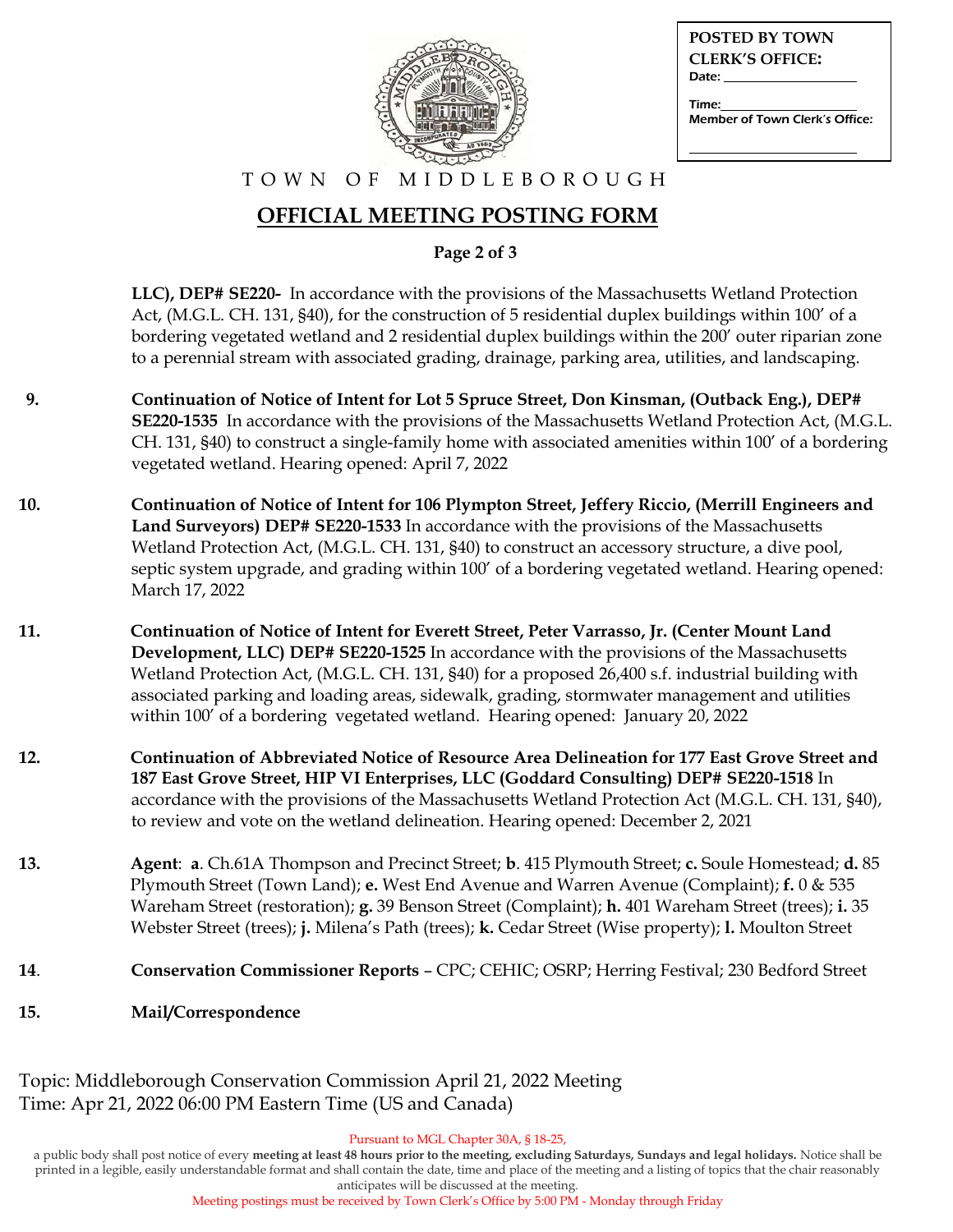

| <b>POSTED BY TOWN</b><br><b>CLERK'S OFFICE:</b><br>Date: Date: |
|----------------------------------------------------------------|
| Time:<br>Member of Town Clerk's Office:                        |

#### T O W N O F M I D D L E B O R O U G H

### **OFFICIAL MEETING POSTING FORM**

**Page 2 of 3**

 **LLC), DEP# SE220-** In accordance with the provisions of the Massachusetts Wetland Protection Act, (M.G.L. CH. 131, §40), for the construction of 5 residential duplex buildings within 100' of a bordering vegetated wetland and 2 residential duplex buildings within the 200' outer riparian zone to a perennial stream with associated grading, drainage, parking area, utilities, and landscaping.

- **9. Continuation of Notice of Intent for Lot 5 Spruce Street, Don Kinsman, (Outback Eng.), DEP# SE220-1535** In accordance with the provisions of the Massachusetts Wetland Protection Act, (M.G.L. CH. 131, §40) to construct a single-family home with associated amenities within 100' of a bordering vegetated wetland. Hearing opened: April 7, 2022
- **10. Continuation of Notice of Intent for 106 Plympton Street, Jeffery Riccio, (Merrill Engineers and Land Surveyors) DEP# SE220-1533** In accordance with the provisions of the Massachusetts Wetland Protection Act, (M.G.L. CH. 131, §40) to construct an accessory structure, a dive pool, septic system upgrade, and grading within 100' of a bordering vegetated wetland. Hearing opened: March 17, 2022
- **11. Continuation of Notice of Intent for Everett Street, Peter Varrasso, Jr. (Center Mount Land Development, LLC) DEP# SE220-1525** In accordance with the provisions of the Massachusetts Wetland Protection Act, (M.G.L. CH. 131, §40) for a proposed 26,400 s.f. industrial building with associated parking and loading areas, sidewalk, grading, stormwater management and utilities within 100' of a bordering vegetated wetland. Hearing opened: January 20, 2022
- **12. Continuation of Abbreviated Notice of Resource Area Delineation for 177 East Grove Street and 187 East Grove Street, HIP VI Enterprises, LLC (Goddard Consulting) DEP# SE220-1518** In accordance with the provisions of the Massachusetts Wetland Protection Act (M.G.L. CH. 131, §40), to review and vote on the wetland delineation. Hearing opened: December 2, 2021
- **13. Agent**: **a**. Ch.61A Thompson and Precinct Street; **b**. 415 Plymouth Street; **c.** Soule Homestead; **d.** 85 Plymouth Street (Town Land); **e.** West End Avenue and Warren Avenue (Complaint); **f.** 0 & 535 Wareham Street (restoration); **g.** 39 Benson Street (Complaint); **h.** 401 Wareham Street (trees); **i.** 35 Webster Street (trees); **j.** Milena's Path (trees); **k.** Cedar Street (Wise property); **l.** Moulton Street
- **14**. **Conservation Commissioner Reports** CPC; CEHIC; OSRP; Herring Festival; 230 Bedford Street
- **15. Mail/Correspondence**

Topic: Middleborough Conservation Commission April 21, 2022 Meeting Time: Apr 21, 2022 06:00 PM Eastern Time (US and Canada)

Pursuant to MGL Chapter 30A, § 18-25,

a public body shall post notice of every **meeting at least 48 hours prior to the meeting, excluding Saturdays, Sundays and legal holidays.** Notice shall be printed in a legible, easily understandable format and shall contain the date, time and place of the meeting and a listing of topics that the chair reasonably anticipates will be discussed at the meeting.

Meeting postings must be received by Town Clerk's Office by 5:00 PM - Monday through Friday